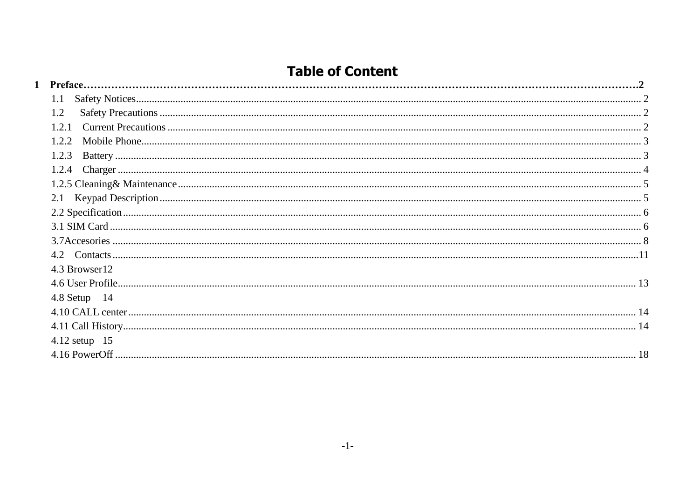# **Table of Content**

| $1.2^{\circ}$    |  |
|------------------|--|
| 121              |  |
| 1.2.2.           |  |
| 1.2.3            |  |
|                  |  |
|                  |  |
|                  |  |
|                  |  |
|                  |  |
|                  |  |
|                  |  |
| 4.3 Browser12    |  |
|                  |  |
| $4.8$ Setup $14$ |  |
|                  |  |
|                  |  |
| 4.12 setup 15    |  |
|                  |  |
|                  |  |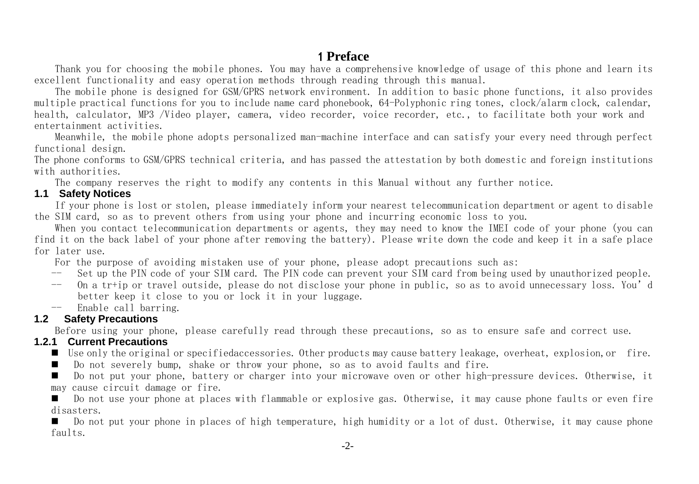# 1 **Preface**

Thank you for choosing the mobile phones. You may have a comprehensive knowledge of usage of this phone and learn its excellent functionality and easy operation methods through reading through this manual.

The mobile phone is designed for GSM/GPRS network environment. In addition to basic phone functions, it also provides multiple practical functions for you to include name card phonebook, 64-Polyphonic ring tones, clock/alarm clock, calendar, health, calculator, MP3 /Video player, camera, video recorder, voice recorder, etc., to facilitate both your work and entertainment activities.

Meanwhile, the mobile phone adopts personalized man-machine interface and can satisfy your every need through perfect functional design.

The phone conforms to GSM/GPRS technical criteria, and has passed the attestation by both domestic and foreign institutions with authorities.

The company reserves the right to modify any contents in this Manual without any further notice.

#### <span id="page-1-0"></span>**1.1 Safety Notices**

If your phone is lost or stolen, please immediately inform your nearest telecommunication department or agent to disable the SIM card, so as to prevent others from using your phone and incurring economic loss to you.

When you contact telecommunication departments or agents, they may need to know the IMEI code of your phone (you can find it on the back label of your phone after removing the battery). Please write down the code and keep it in a safe place for later use.

For the purpose of avoiding mistaken use of your phone, please adopt precautions such as:

- -- Set up the PIN code of your SIM card. The PIN code can prevent your SIM card from being used by unauthorized people.
- -- On a tr+ip or travel outside, please do not disclose your phone in public, so as to avoid unnecessary loss. You'd better keep it close to you or lock it in your luggage.
- -- Enable call barring.

## <span id="page-1-1"></span>**1.2 Safety Precautions**

Before using your phone, please carefully read through these precautions, so as to ensure safe and correct use.

#### <span id="page-1-2"></span>**1.2.1 Current Precautions**

- Use only the original or specifiedaccessories. Other products may cause battery leakage, overheat, explosion,or fire.
- Do not severely bump, shake or throw your phone, so as to avoid faults and fire.

 Do not put your phone, battery or charger into your microwave oven or other high-pressure devices. Otherwise, it may cause circuit damage or fire.

 Do not use your phone at places with flammable or explosive gas. Otherwise, it may cause phone faults or even fire disasters.

 Do not put your phone in places of high temperature, high humidity or a lot of dust. Otherwise, it may cause phone faults.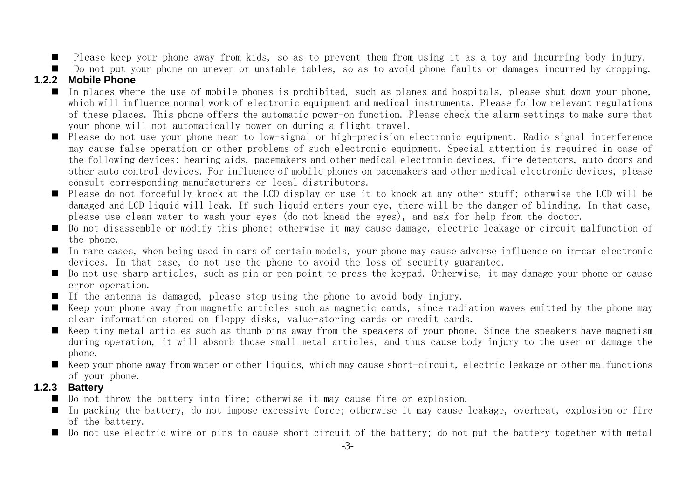Please keep your phone away from kids, so as to prevent them from using it as a toy and incurring body injury.

Do not put your phone on uneven or unstable tables, so as to avoid phone faults or damages incurred by dropping.

## <span id="page-2-0"></span>**1.2.2 Mobile Phone**

- In places where the use of mobile phones is prohibited, such as planes and hospitals, please shut down your phone, which will influence normal work of electronic equipment and medical instruments. Please follow relevant regulations of these places. This phone offers the automatic power-on function. Please check the alarm settings to make sure that your phone will not automatically power on during a flight travel.
- Please do not use your phone near to low-signal or high-precision electronic equipment. Radio signal interference may cause false operation or other problems of such electronic equipment. Special attention is required in case of the following devices: hearing aids, pacemakers and other medical electronic devices, fire detectors, auto doors and other auto control devices. For influence of mobile phones on pacemakers and other medical electronic devices, please consult corresponding manufacturers or local distributors.
- Please do not forcefully knock at the LCD display or use it to knock at any other stuff; otherwise the LCD will be damaged and LCD liquid will leak. If such liquid enters your eye, there will be the danger of blinding. In that case, please use clean water to wash your eyes (do not knead the eyes), and ask for help from the doctor.
- Do not disassemble or modify this phone; otherwise it may cause damage, electric leakage or circuit malfunction of the phone.
- In rare cases, when being used in cars of certain models, your phone may cause adverse influence on in-car electronic devices. In that case, do not use the phone to avoid the loss of security guarantee.
- Do not use sharp articles, such as pin or pen point to press the keypad. Otherwise, it may damage your phone or cause error operation.
- If the antenna is damaged, please stop using the phone to avoid body injury.
- Keep your phone away from magnetic articles such as magnetic cards, since radiation waves emitted by the phone may clear information stored on floppy disks, value-storing cards or credit cards.
- $\blacksquare$  Keep tiny metal articles such as thumb pins away from the speakers of your phone. Since the speakers have magnetism during operation, it will absorb those small metal articles, and thus cause body injury to the user or damage the phone.
- $\blacksquare$  Keep your phone away from water or other liquids, which may cause short-circuit, electric leakage or other malfunctions of your phone.

### <span id="page-2-1"></span>**1.2.3 Battery**

- Do not throw the battery into fire; otherwise it may cause fire or explosion.
- In packing the battery, do not impose excessive force; otherwise it may cause leakage, overheat, explosion or fire of the battery.
- Do not use electric wire or pins to cause short circuit of the battery; do not put the battery together with metal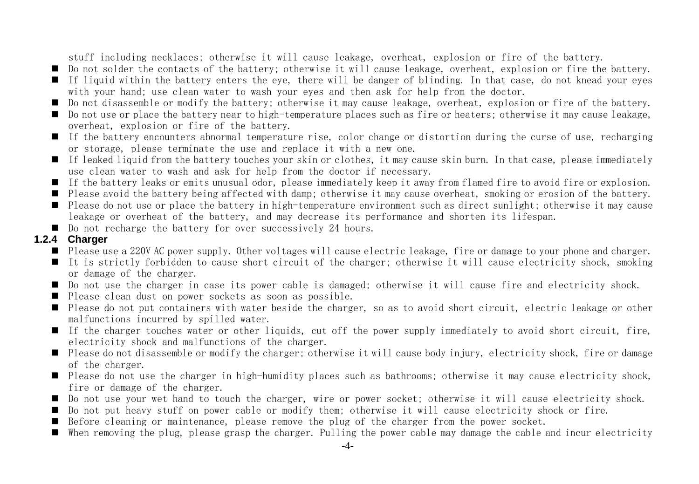stuff including necklaces; otherwise it will cause leakage, overheat, explosion or fire of the battery.

- Do not solder the contacts of the battery; otherwise it will cause leakage, overheat, explosion or fire the battery.
- If liquid within the battery enters the eye, there will be danger of blinding. In that case, do not knead your eyes with your hand; use clean water to wash your eyes and then ask for help from the doctor.
- Do not disassemble or modify the battery; otherwise it may cause leakage, overheat, explosion or fire of the battery.
- Do not use or place the battery near to high-temperature places such as fire or heaters; otherwise it may cause leakage, overheat, explosion or fire of the battery.
- If the battery encounters abnormal temperature rise, color change or distortion during the curse of use, recharging or storage, please terminate the use and replace it with a new one.
- $\blacksquare$  If leaked liquid from the battery touches your skin or clothes, it may cause skin burn. In that case, please immediately use clean water to wash and ask for help from the doctor if necessary.
- If the battery leaks or emits unusual odor, please immediately keep it away from flamed fire to avoid fire or explosion.
- Please avoid the battery being affected with damp; otherwise it may cause overheat, smoking or erosion of the battery.
- Please do not use or place the battery in high-temperature environment such as direct sunlight; otherwise it may cause leakage or overheat of the battery, and may decrease its performance and shorten its lifespan.
- Do not recharge the battery for over successively 24 hours.

#### <span id="page-3-0"></span>**1.2.4 Charger**

- Please use a 220V AC power supply. Other voltages will cause electric leakage, fire or damage to your phone and charger.
- It is strictly forbidden to cause short circuit of the charger; otherwise it will cause electricity shock, smoking or damage of the charger.
- Do not use the charger in case its power cable is damaged; otherwise it will cause fire and electricity shock.
- Please clean dust on power sockets as soon as possible.
- Please do not put containers with water beside the charger, so as to avoid short circuit, electric leakage or other malfunctions incurred by spilled water.
- If the charger touches water or other liquids, cut off the power supply immediately to avoid short circuit, fire, electricity shock and malfunctions of the charger.
- Please do not disassemble or modify the charger; otherwise it will cause body injury, electricity shock, fire or damage of the charger.
- Please do not use the charger in high-humidity places such as bathrooms; otherwise it may cause electricity shock, fire or damage of the charger.
- Do not use your wet hand to touch the charger, wire or power socket; otherwise it will cause electricity shock.
- Do not put heavy stuff on power cable or modify them; otherwise it will cause electricity shock or fire.
- Before cleaning or maintenance, please remove the plug of the charger from the power socket.
- When removing the plug, please grasp the charger. Pulling the power cable may damage the cable and incur electricity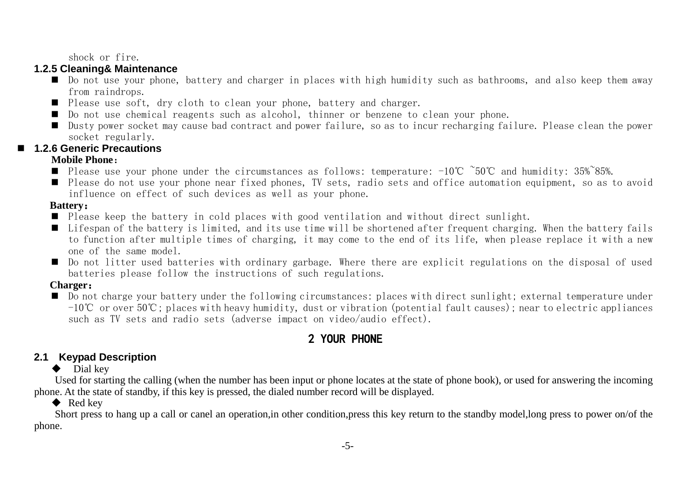shock or fire.

#### <span id="page-4-0"></span>**1.2.5 Cleaning& Maintenance**

- Do not use your phone, battery and charger in places with high humidity such as bathrooms, and also keep them away from raindrops.
- Please use soft, dry cloth to clean your phone, battery and charger.
- Do not use chemical reagents such as alcohol, thinner or benzene to clean your phone.
- Dusty power socket may cause bad contract and power failure, so as to incur recharging failure. Please clean the power socket regularly.

## **1.2.6 Generic Precautions**

### **Mobile Phone**:

- Please use your phone under the circumstances as follows: temperature: -10℃ ~50℃ and humidity: 35%~85%.
- Please do not use your phone near fixed phones, TV sets, radio sets and office automation equipment, so as to avoid influence on effect of such devices as well as your phone.

## **Battery**:

- Please keep the battery in cold places with good ventilation and without direct sunlight.
- $\blacksquare$  Lifespan of the battery is limited, and its use time will be shortened after frequent charging. When the battery fails to function after multiple times of charging, it may come to the end of its life, when please replace it with a new one of the same model.
- Do not litter used batteries with ordinary garbage. Where there are explicit regulations on the disposal of used batteries please follow the instructions of such regulations.

## **Charger**:

Do not charge your battery under the following circumstances; places with direct sunlight; external temperature under -10℃ or over 50℃; places with heavy humidity, dust or vibration (potential fault causes); near to electric appliances such as TV sets and radio sets (adverse impact on video/audio effect).

# 2 YOUR PHONE

# <span id="page-4-1"></span>**2.1 Keypad Description**

## $\bullet$  Dial key

Used for starting the calling (when the number has been input or phone locates at the state of phone book), or used for answering the incoming phone. At the state of standby, if this key is pressed, the dialed number record will be displayed.

# ◆ Red key

Short press to hang up a call or canel an operation,in other condition,press this key return to the standby model,long press to power on/of the phone.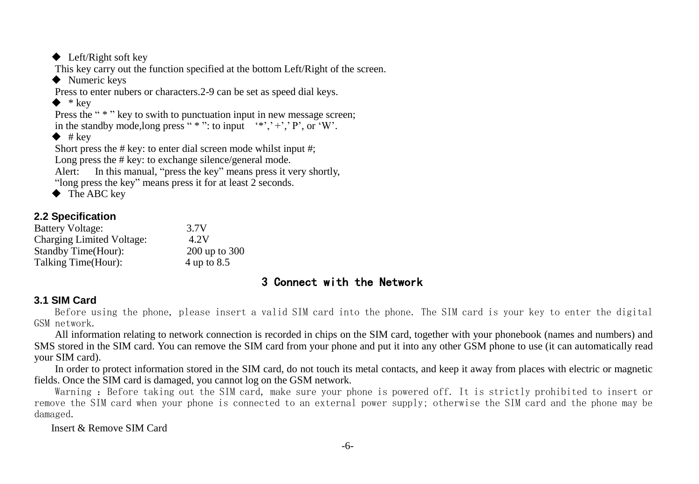```
◆ Left/Right soft key
This key carry out the function specified at the bottom Left/Right of the screen.
◆ Numeric keys
Press to enter nubers or characters.2-9 can be set as speed dial keys.
\bullet * key
Press the " * " key to swith to punctuation input in new message screen:
in the standby mode, long press " *"; to input *, "+", "P", or W'.
\bullet # key
Short press the \# key: to enter dial screen mode whilst input \#:
Long press the # key: to exchange silence/general mode.
Alert: In this manual, "press the key" means press it very shortly,
"long press the key" means press it for at least 2 seconds.
◆ The ABC key
```

```
2.2 Specification
```

| <b>Battery Voltage:</b>   | 3.7V          |
|---------------------------|---------------|
| Charging Limited Voltage: | 4.2V          |
| Standby Time(Hour):       | 200 up to 300 |
| Talking Time(Hour):       | 4 up to 8.5   |

# 3 Connect with the Network

#### <span id="page-5-1"></span>**3.1 SIM Card**

Before using the phone, please insert a valid SIM card into the phone. The SIM card is your key to enter the digital GSM network.

All information relating to network connection is recorded in chips on the SIM card, together with your phonebook (names and numbers) and SMS stored in the SIM card. You can remove the SIM card from your phone and put it into any other GSM phone to use (it can automatically read your SIM card).

In order to protect information stored in the SIM card, do not touch its metal contacts, and keep it away from places with electric or magnetic fields. Once the SIM card is damaged, you cannot log on the GSM network.

Warning : Before taking out the SIM card, make sure your phone is powered off. It is strictly prohibited to insert or remove the SIM card when your phone is connected to an external power supply; otherwise the SIM card and the phone may be damaged.

Insert & Remove SIM Card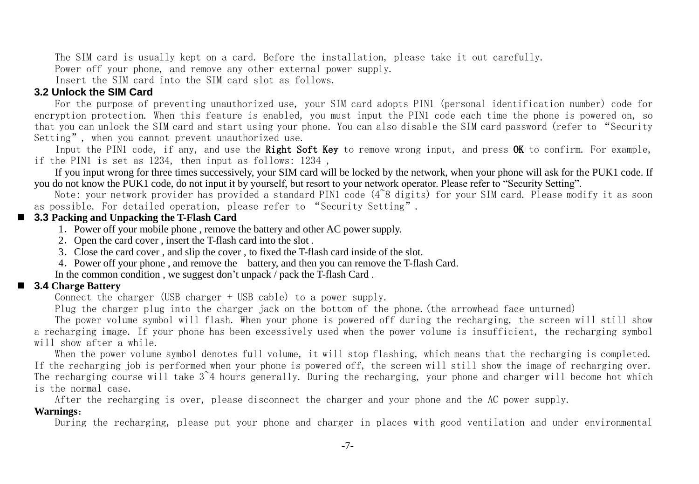The SIM card is usually kept on a card. Before the installation, please take it out carefully.

Power off your phone, and remove any other external power supply.

Insert the SIM card into the SIM card slot as follows.

#### **3.2 Unlock the SIM Card**

For the purpose of preventing unauthorized use, your SIM card adopts PIN1 (personal identification number) code for encryption protection. When this feature is enabled, you must input the PIN1 code each time the phone is powered on, so that you can unlock the SIM card and start using your phone. You can also disable the SIM card password (refer to "Security Setting", when you cannot prevent unauthorized use.

Input the PIN1 code, if any, and use the Right Soft Key to remove wrong input, and press OK to confirm. For example, if the PIN1 is set as 1234, then input as follows: 1234 ,

If you input wrong for three times successively, your SIM card will be locked by the network, when your phone will ask for the PUK1 code. If you do not know the PUK1 code, do not input it by yourself, but resort to your network operator. Please refer to "Security Setting".

Note: your network provider has provided a standard PIN1 code (4~8 digits) for your SIM card. Please modify it as soon as possible. For detailed operation, please refer to "Security Setting".

#### **3.3 Packing and Unpacking the T-Flash Card**

- 1.Power off your mobile phone , remove the battery and other AC power supply.
- 2. Open the card cover , insert the T-flash card into the slot.
- 3.Close the card cover , and slip the cover , to fixed the T-flash card inside of the slot.
- 4.Power off your phone , and remove the battery, and then you can remove the T-flash Card.

In the common condition , we suggest don't unpack / pack the T-flash Card.

#### **3.4 Charge Battery**

Connect the charger (USB charger + USB cable) to a power supply.

Plug the charger plug into the charger jack on the bottom of the phone.(the arrowhead face unturned)

The power volume symbol will flash. When your phone is powered off during the recharging, the screen will still show a recharging image. If your phone has been excessively used when the power volume is insufficient, the recharging symbol will show after a while.

When the power volume symbol denotes full volume, it will stop flashing, which means that the recharging is completed. If the recharging job is performed when your phone is powered off, the screen will still show the image of recharging over. The recharging course will take 3~4 hours generally. During the recharging, your phone and charger will become hot which is the normal case.

After the recharging is over, please disconnect the charger and your phone and the AC power supply.

#### **Warnings**:

During the recharging, please put your phone and charger in places with good ventilation and under environmental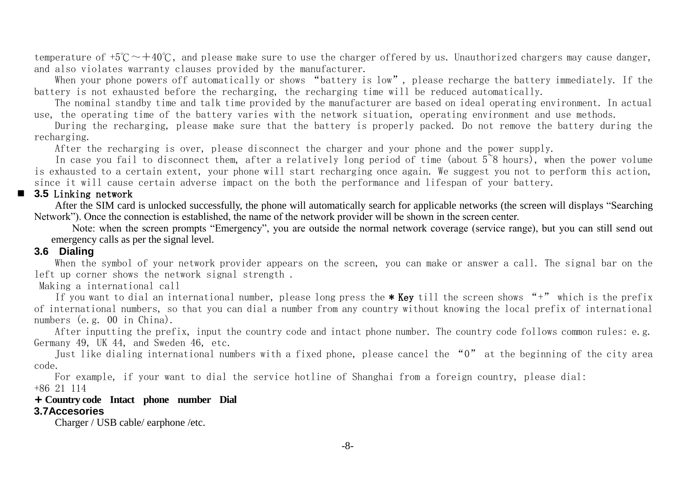temperature of  $+5\degree{\sim}+40\degree{\sim}$ , and please make sure to use the charger offered by us. Unauthorized chargers may cause danger, and also violates warranty clauses provided by the manufacturer.

When your phone powers off automatically or shows "battery is low", please recharge the battery immediately. If the battery is not exhausted before the recharging, the recharging time will be reduced automatically.

The nominal standby time and talk time provided by the manufacturer are based on ideal operating environment. In actual use, the operating time of the battery varies with the network situation, operating environment and use methods.

During the recharging, please make sure that the battery is properly packed. Do not remove the battery during the recharging.

After the recharging is over, please disconnect the charger and your phone and the power supply.

In case you fail to disconnect them, after a relatively long period of time (about 5<sup> $\degree$ 8</sup> hours), when the power volume is exhausted to a certain extent, your phone will start recharging once again. We suggest you not to perform this action, since it will cause certain adverse impact on the both the performance and lifespan of your battery.

#### **3.5** Linking network

After the SIM card is unlocked successfully, the phone will automatically search for applicable networks (the screen will displays "Searching Network"). Once the connection is established, the name of the network provider will be shown in the screen center.

Note: when the screen prompts "Emergency", you are outside the normal network coverage (service range), but you can still send out emergency calls as per the signal level.

## **3.6 Dialing**

When the symbol of your network provider appears on the screen, you can make or answer a call. The signal bar on the left up corner shows the network signal strength .

#### Making a international call

If you want to dial an international number, please long press the \* Key till the screen shows "+" which is the prefix of international numbers, so that you can dial a number from any country without knowing the local prefix of international numbers (e.g. 00 in China).

After inputting the prefix, input the country code and intact phone number. The country code follows common rules: e.g. Germany 49, UK 44, and Sweden 46, etc.

Just like dialing international numbers with a fixed phone, please cancel the "0" at the beginning of the city area code.

For example, if your want to dial the service hotline of Shanghai from a foreign country, please dial: +86 21 114

#### <span id="page-7-0"></span>**+ Country code Intact phone number Dial 3.7Accesories**

Charger / USB cable/ earphone /etc.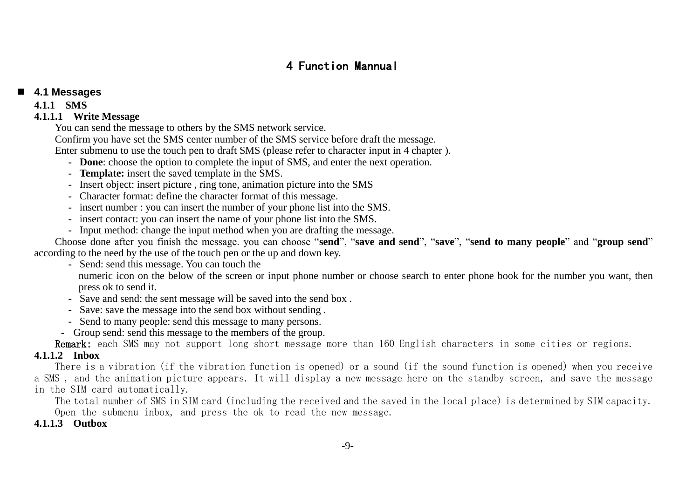# 4 Function Mannual

#### **4.1 Messages**

#### **4.1.1 SMS**

#### **4.1.1.1 Write Message**

You can send the message to others by the SMS network service.

Confirm you have set the SMS center number of the SMS service before draft the message.

Enter submenu to use the touch pen to draft SMS (please refer to character input in 4 chapter ).

- **- Done**: choose the option to complete the input of SMS, and enter the next operation.
- **- Template:** insert the saved template in the SMS.
- **-** Insert object: insert picture , ring tone, animation picture into the SMS
- **-** Character format: define the character format of this message.
- **-** insert number : you can insert the number of your phone list into the SMS.
- **-** insert contact: you can insert the name of your phone list into the SMS.
- **-** Input method: change the input method when you are drafting the message.

Choose done after you finish the message. you can choose "**send**", "**save and send**", "**save**", "**send to many people**" and "**group send**" according to the need by the use of the touch pen or the up and down key.

**-** Send: send this message. You can touch the

numeric icon on the below of the screen or input phone number or choose search to enter phone book for the number you want, then press ok to send it.

- **-** Save and send: the sent message will be saved into the send box .
- **-** Save: save the message into the send box without sending .
- **-** Send to many people: send this message to many persons.
- **-** Group send: send this message to the members of the group.

Remark: each SMS may not support long short message more than 160 English characters in some cities or regions.

# **4.1.1.2 Inbox**

There is a vibration (if the vibration function is opened) or a sound (if the sound function is opened) when you receive a SMS , and the animation picture appears. It will display a new message here on the standby screen, and save the message in the SIM card automatically.

The total number of SMS in SIM card (including the received and the saved in the local place) is determined by SIM capacity. Open the submenu inbox, and press the ok to read the new message.

#### **4.1.1.3 Outbox**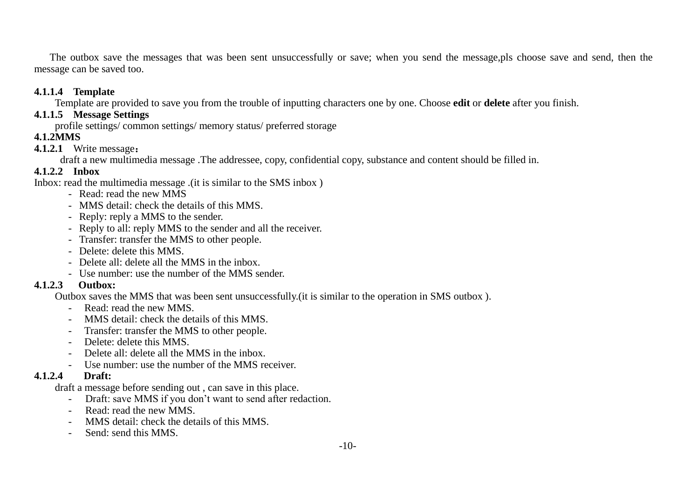The outbox save the messages that was been sent unsuccessfully or save; when you send the message,pls choose save and send, then the message can be saved too.

#### **4.1.1.4 Template**

Template are provided to save you from the trouble of inputting characters one by one. Choose **edit** or **delete** after you finish.

### **4.1.1.5 Message Settings**

profile settings/ common settings/ memory status/ preferred storage

#### **4.1.2MMS**

#### **4.1.2.1** Write message:

draft a new multimedia message .The addressee, copy, confidential copy, substance and content should be filled in.

#### **4.1.2.2 Inbox**

Inbox: read the multimedia message .(it is similar to the SMS inbox )

- Read: read the new MMS
- MMS detail: check the details of this MMS.
- Reply: reply a MMS to the sender.
- Reply to all: reply MMS to the sender and all the receiver.
- Transfer: transfer the MMS to other people.
- Delete: delete this MMS.
- Delete all: delete all the MMS in the inbox.
- Use number: use the number of the MMS sender.

#### **4.1.2.3 Outbox:**

Outbox saves the MMS that was been sent unsuccessfully.(it is similar to the operation in SMS outbox ).

- Read: read the new MMS.
- MMS detail: check the details of this MMS.
- Transfer: transfer the MMS to other people.
- Delete: delete this MMS.
- Delete all: delete all the MMS in the inbox.
- Use number: use the number of the MMS receiver.

#### **4.1.2.4 Draft:**

draft a message before sending out , can save in this place.

- Draft: save MMS if you don"t want to send after redaction.
- Read: read the new MMS.
- MMS detail: check the details of this MMS.
- Send: send this MMS.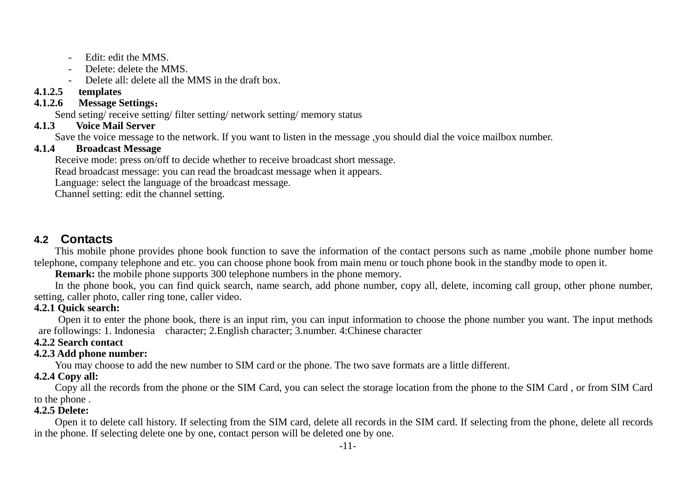- Edit: edit the MMS.
- Delete: delete the MMS.
- Delete all: delete all the MMS in the draft box.

## **4.1.2.5 templates**

## **4.1.2.6 Message Settings**:

Send seting/ receive setting/ filter setting/ network setting/ memory status  $413$  Voice Mail Server

## **4.1.3 Voice Mail Server**

Save the voice message to the network. If you want to listen in the message ,you should dial the voice mailbox number.<br>4.1.4 Broadcast Message

### **4.1.4 Broadcast Message**

Receive mode: press on/off to decide whether to receive broadcast short message.

Read broadcast message: you can read the broadcast message when it appears.

Language: select the language of the broadcast message.

Channel setting: edit the channel setting.

## <span id="page-10-0"></span>**4.2 Contacts**

This mobile phone provides phone book function to save the information of the contact persons such as name ,mobile phone number home telephone, company telephone and etc. you can choose phone book from main menu or touch phone book in the standby mode to open it.

**Remark:** the mobile phone supports 300 telephone numbers in the phone memory.

In the phone book, you can find quick search, name search, add phone number, copy all, delete, incoming call group, other phone number, setting, caller photo, caller ring tone, caller video.

### **4.2.1 Quick search:**

Open it to enter the phone book, there is an input rim, you can input information to choose the phone number you want. The input methods are followings: 1. Indonesia character; 2.English character; 3.number. 4:Chinese character

#### **4.2.2 Search contact**

#### **4.2.3 Add phone number:**

You may choose to add the new number to SIM card or the phone. The two save formats are a little different.

### **4.2.4 Copy all:**

Copy all the records from the phone or the SIM Card, you can select the storage location from the phone to the SIM Card , or from SIM Card to the phone .

### **4.2.5 Delete:**

Open it to delete call history. If selecting from the SIM card, delete all records in the SIM card. If selecting from the phone, delete all records in the phone. If selecting delete one by one, contact person will be deleted one by one.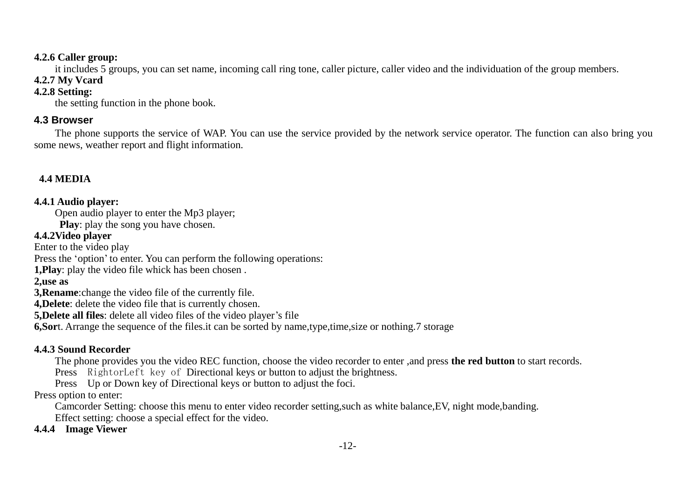#### **4.2.6 Caller group:**

it includes 5 groups, you can set name, incoming call ring tone, caller picture, caller video and the individuation of the group members.

# **4.2.7 My Vcard**

## **4.2.8 Setting:**

the setting function in the phone book.

## <span id="page-11-0"></span>**4.3 Browser**

The phone supports the service of WAP. You can use the service provided by the network service operator. The function can also bring you some news, weather report and flight information.

## **4.4 MEDIA**

## **4.4.1 Audio player:**

Open audio player to enter the Mp3 player;

**Play**: play the song you have chosen.

## **4.4.2Video player**

Enter to the video play

Press the 'option' to enter. You can perform the following operations:

**1,Play**: play the video file whick has been chosen .

### **2,use as**

**3,Rename**:change the video file of the currently file.

**4,Delete**: delete the video file that is currently chosen.

**5,Delete all files**: delete all video files of the video player"s file

**6.Sort.** Arrange the sequence of the files, it can be sorted by name, type, time, size or nothing. 7 storage

## **4.4.3 Sound Recorder**

The phone provides you the video REC function, choose the video recorder to enter ,and press **the red button** to start records.

Press RightorLeft key of Directional keys or button to adjust the brightness.

Press Up or Down key of Directional keys or button to adjust the foci.

### Press option to enter:

Camcorder Setting: choose this menu to enter video recorder setting,such as white balance,EV, night mode,banding. Effect setting: choose a special effect for the video.

### **4.4.4 Image Viewer**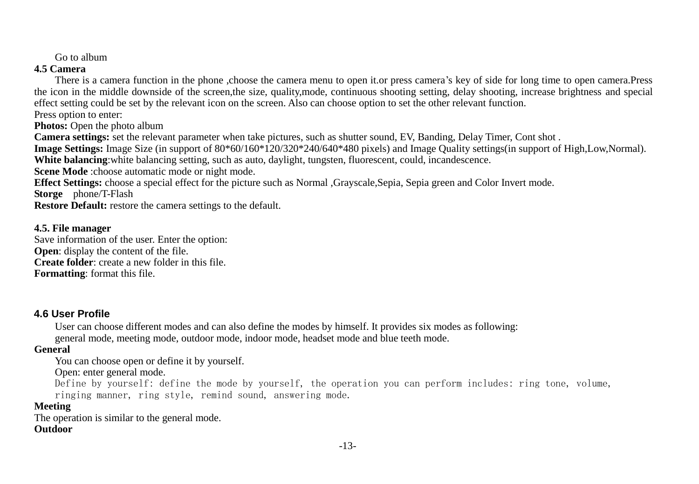Go to album

#### **4.5 Camera**

There is a camera function in the phone ,choose the camera menu to open it.or press camera"s key of side for long time to open camera.Press the icon in the middle downside of the screen,the size, quality,mode, continuous shooting setting, delay shooting, increase brightness and special effect setting could be set by the relevant icon on the screen. Also can choose option to set the other relevant function. Press option to enter:

**Photos:** Open the photo album

**Camera settings:** set the relevant parameter when take pictures, such as shutter sound, EV, Banding, Delay Timer, Cont shot .

**Image Settings:** Image Size (in support of 80\*60/160\*120/320\*240/640\*480 pixels) and Image Quality settings(in support of High,Low,Normal).

**White balancing**:white balancing setting, such as auto, daylight, tungsten, fluorescent, could, incandescence.

**Scene Mode** :choose automatic mode or night mode.

**Effect Settings:** choose a special effect for the picture such as Normal ,Grayscale,Sepia, Sepia green and Color Invert mode.

**Storge** phone/T-Flash

**Restore Default:** restore the camera settings to the default.

#### **4.5. File manager**

Save information of the user. Enter the option: **Open:** display the content of the file. **Create folder**: create a new folder in this file. **Formatting**: format this file.

## <span id="page-12-0"></span>**4.6 User Profile**

User can choose different modes and can also define the modes by himself. It provides six modes as following: general mode, meeting mode, outdoor mode, indoor mode, headset mode and blue teeth mode.

### **General**

You can choose open or define it by yourself.

### Open: enter general mode.

Define by yourself: define the mode by yourself, the operation you can perform includes: ring tone, volume, ringing manner, ring style, remind sound, answering mode.

## **Meeting**

The operation is similar to the general mode. **Outdoor**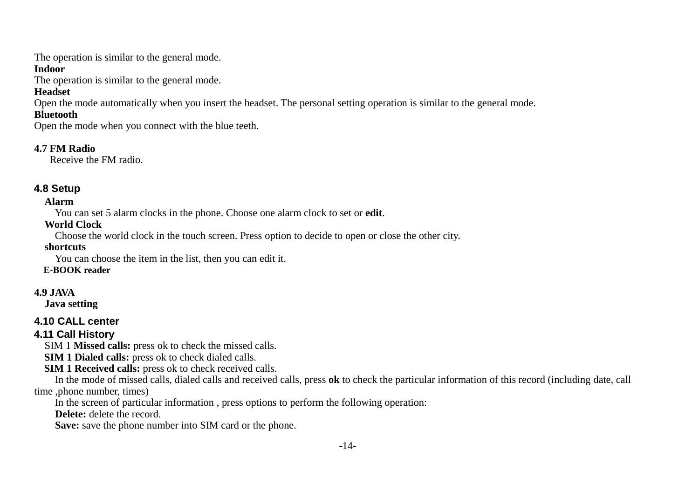The operation is similar to the general mode.

#### **Indoor**

The operation is similar to the general mode.

## **Headset**

Open the mode automatically when you insert the headset. The personal setting operation is similar to the general mode.

## **Bluetooth**

Open the mode when you connect with the blue teeth.

## **4.7 FM Radio**

Receive the FM radio.

# <span id="page-13-0"></span>**4.8 Setup**

## **Alarm**

You can set 5 alarm clocks in the phone. Choose one alarm clock to set or **edit**.

## **World Clock**

Choose the world clock in the touch screen. Press option to decide to open or close the other city.

## **shortcuts**

You can choose the item in the list, then you can edit it.

## **E-BOOK reader**

## **4.9 JAVA**

 **Java setting**

# <span id="page-13-1"></span>**4.10 CALL center**

# <span id="page-13-2"></span>**4.11 Call History**

SIM 1 **Missed calls:** press ok to check the missed calls.

**SIM 1 Dialed calls:** press ok to check dialed calls.

**SIM 1 Received calls:** press ok to check received calls.

In the mode of missed calls, dialed calls and received calls, press **ok** to check the particular information of this record (including date, call time ,phone number, times)

In the screen of particular information , press options to perform the following operation:

**Delete:** delete the record.

**Save:** save the phone number into SIM card or the phone.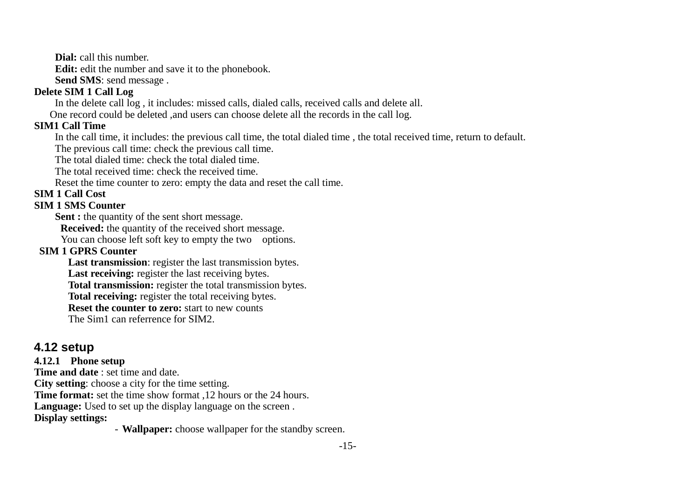**Dial:** call this number.

**Edit:** edit the number and save it to the phonebook.

**Send SMS**: send message .

## **Delete SIM 1 Call Log**

In the delete call log , it includes: missed calls, dialed calls, received calls and delete all.

One record could be deleted ,and users can choose delete all the records in the call log.

#### **SIM1 Call Time**

In the call time, it includes: the previous call time, the total dialed time , the total received time, return to default.

The previous call time: check the previous call time.

The total dialed time: check the total dialed time.

The total received time: check the received time.

Reset the time counter to zero: empty the data and reset the call time.

#### **SIM 1 Call Cost**

#### **SIM 1 SMS Counter**

Sent : the quantity of the sent short message.

**Received:** the quantity of the received short message.

You can choose left soft key to empty the two options.

## **SIM 1 GPRS Counter**

**Last transmission**: register the last transmission bytes.

**Last receiving:** register the last receiving bytes.

**Total transmission:** register the total transmission bytes.

**Total receiving:** register the total receiving bytes.

**Reset the counter to zero:** start to new counts

The Sim1 can referrence for SIM2.

# <span id="page-14-0"></span>**4.12 setup**

### **4.12.1 Phone setup**

**Time and date** : set time and date. **City setting**: choose a city for the time setting. **Time format:** set the time show format ,12 hours or the 24 hours. **Language:** Used to set up the display language on the screen . **Display settings:** 

- **Wallpaper:** choose wallpaper for the standby screen.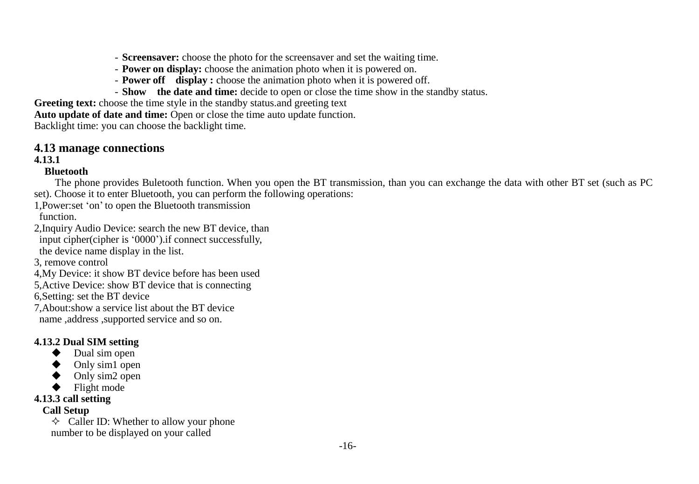- **Screensaver:** choose the photo for the screensaver and set the waiting time.
- **Power on display:** choose the animation photo when it is powered on.
- **Power off display :** choose the animation photo when it is powered off.
- **Show the date and time:** decide to open or close the time show in the standby status.

**Greeting text:** choose the time style in the standby status and greeting text

**Auto update of date and time:** Open or close the time auto update function.

Backlight time: you can choose the backlight time.

### **4.13 manage connections**

#### **4.13.1**

#### **Bluetooth**

The phone provides Buletooth function. When you open the BT transmission, than you can exchange the data with other BT set (such as PC set). Choose it to enter Bluetooth, you can perform the following operations:

- 1,Power:set "on" to open the Bluetooth transmission function.
- 2,Inquiry Audio Device: search the new BT device, than input cipher(cipher is "0000").if connect successfully, the device name display in the list.
- 3, remove control
- 4,My Device: it show BT device before has been used
- 5,Active Device: show BT device that is connecting

6,Setting: set the BT device

- 7,About:show a service list about the BT device
- name ,address ,supported service and so on.

## **4.13.2 Dual SIM setting**

- ◆ Dual sim open
- ◆ Only sim1 open
- ◆ Only sim2 open
- ◆ Flight mode

## **4.13.3 call setting**

## **Call Setup**

 $\Diamond$  Caller ID: Whether to allow your phone number to be displayed on your called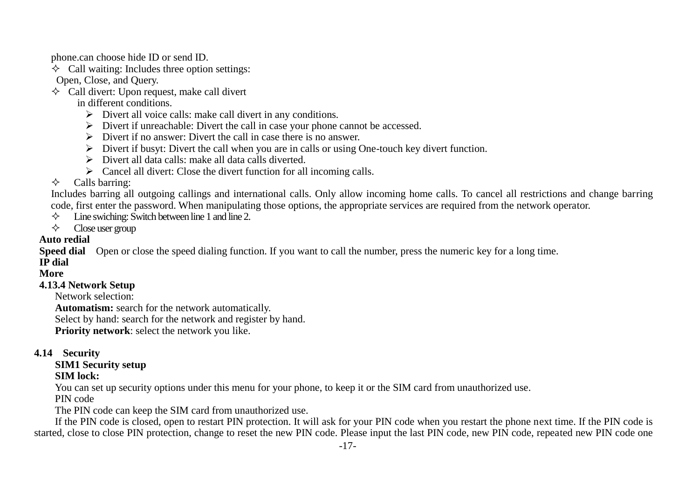phone.can choose hide ID or send ID.

 $\leftrightarrow$  Call waiting: Includes three option settings:

Open, Close, and Query.

 $\Diamond$  Call divert: Upon request, make call divert

in different conditions.

- Divert all voice calls: make call divert in any conditions.
- $\triangleright$  Divert if unreachable: Divert the call in case your phone cannot be accessed.
- $\triangleright$  Divert if no answer: Divert the call in case there is no answer.
- $\triangleright$  Divert if busyt: Divert the call when you are in calls or using One-touch key divert function.
- $\triangleright$  Divert all data calls: make all data calls diverted.
- $\triangleright$  Cancel all divert: Close the divert function for all incoming calls.

## $\diamond$  Calls barring:

Includes barring all outgoing callings and international calls. Only allow incoming home calls. To cancel all restrictions and change barring code, first enter the password. When manipulating those options, the appropriate services are required from the network operator.

- $\diamond$  I ine swiching: Switch between line 1 and line 2.
- $\Leftrightarrow$  Close user group

## **Auto redial**

**Speed dial** Open or close the speed dialing function. If you want to call the number, press the numeric key for a long time.

# **IP dial**

### **More**

### **4.13.4 Network Setup**

Network selection:

**Automatism:** search for the network automatically.

Select by hand: search for the network and register by hand.

**Priority network**: select the network you like.

### **4.14 Security**

## **SIM1 Security setup**

#### **SIM lock:**

You can set up security options under this menu for your phone, to keep it or the SIM card from unauthorized use.

PIN code

The PIN code can keep the SIM card from unauthorized use.

If the PIN code is closed, open to restart PIN protection. It will ask for your PIN code when you restart the phone next time. If the PIN code is started, close to close PIN protection, change to reset the new PIN code. Please input the last PIN code, new PIN code, repeated new PIN code one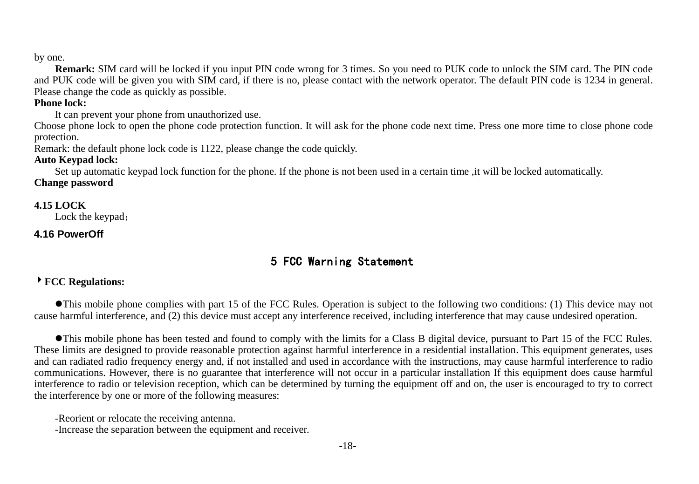#### by one.

**Remark:** SIM card will be locked if you input PIN code wrong for 3 times. So you need to PUK code to unlock the SIM card. The PIN code and PUK code will be given you with SIM card, if there is no, please contact with the network operator. The default PIN code is 1234 in general. Please change the code as quickly as possible.

#### **Phone lock:**

It can prevent your phone from unauthorized use.

Choose phone lock to open the phone code protection function. It will ask for the phone code next time. Press one more time to close phone code protection.

Remark: the default phone lock code is 1122, please change the code quickly.

#### **Auto Keypad lock:**

Set up automatic keypad lock function for the phone. If the phone is not been used in a certain time ,it will be locked automatically.

**Change password** 

#### **4.15 LOCK**

Lock the keypad;

#### <span id="page-17-0"></span>**4.16 PowerOff**

# 5 FCC Warning Statement

#### **FCC Regulations:**

This mobile phone complies with part 15 of the FCC Rules. Operation is subject to the following two conditions: (1) This device may not cause harmful interference, and (2) this device must accept any interference received, including interference that may cause undesired operation.

This mobile phone has been tested and found to comply with the limits for a Class B digital device, pursuant to Part 15 of the FCC Rules. These limits are designed to provide reasonable protection against harmful interference in a residential installation. This equipment generates, uses and can radiated radio frequency energy and, if not installed and used in accordance with the instructions, may cause harmful interference to radio communications. However, there is no guarantee that interference will not occur in a particular installation If this equipment does cause harmful interference to radio or television reception, which can be determined by turning the equipment off and on, the user is encouraged to try to correct the interference by one or more of the following measures:

-Reorient or relocate the receiving antenna.

-Increase the separation between the equipment and receiver.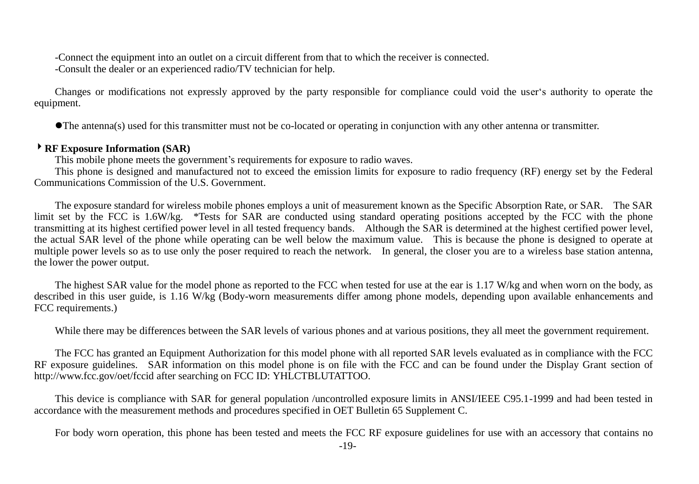-Connect the equipment into an outlet on a circuit different from that to which the receiver is connected. -Consult the dealer or an experienced radio/TV technician for help.

Changes or modifications not expressly approved by the party responsible for compliance could void the user"s authority to operate the equipment.

The antenna(s) used for this transmitter must not be co-located or operating in conjunction with any other antenna or transmitter.

#### **RF Exposure Information (SAR)**

This mobile phone meets the government"s requirements for exposure to radio waves.

This phone is designed and manufactured not to exceed the emission limits for exposure to radio frequency (RF) energy set by the Federal Communications Commission of the U.S. Government.

The exposure standard for wireless mobile phones employs a unit of measurement known as the Specific Absorption Rate, or SAR. The SAR limit set by the FCC is 1.6W/kg. \*Tests for SAR are conducted using standard operating positions accepted by the FCC with the phone transmitting at its highest certified power level in all tested frequency bands. Although the SAR is determined at the highest certified power level, the actual SAR level of the phone while operating can be well below the maximum value. This is because the phone is designed to operate at multiple power levels so as to use only the poser required to reach the network. In general, the closer you are to a wireless base station antenna. the lower the power output.

The highest SAR value for the model phone as reported to the FCC when tested for use at the ear is 1.17 W/kg and when worn on the body, as described in this user guide, is 1.16 W/kg (Body-worn measurements differ among phone models, depending upon available enhancements and FCC requirements.)

While there may be differences between the SAR levels of various phones and at various positions, they all meet the government requirement.

The FCC has granted an Equipment Authorization for this model phone with all reported SAR levels evaluated as in compliance with the FCC RF exposure guidelines. SAR information on this model phone is on file with the FCC and can be found under the Display Grant section of <http://www.fcc.gov/oet/fccid> after searching on FCC ID: YHLCTBLUTATTOO.

This device is compliance with SAR for general population /uncontrolled exposure limits in ANSI/IEEE C95.1-1999 and had been tested in accordance with the measurement methods and procedures specified in OET Bulletin 65 Supplement C.

For body worn operation, this phone has been tested and meets the FCC RF exposure guidelines for use with an accessory that contains no